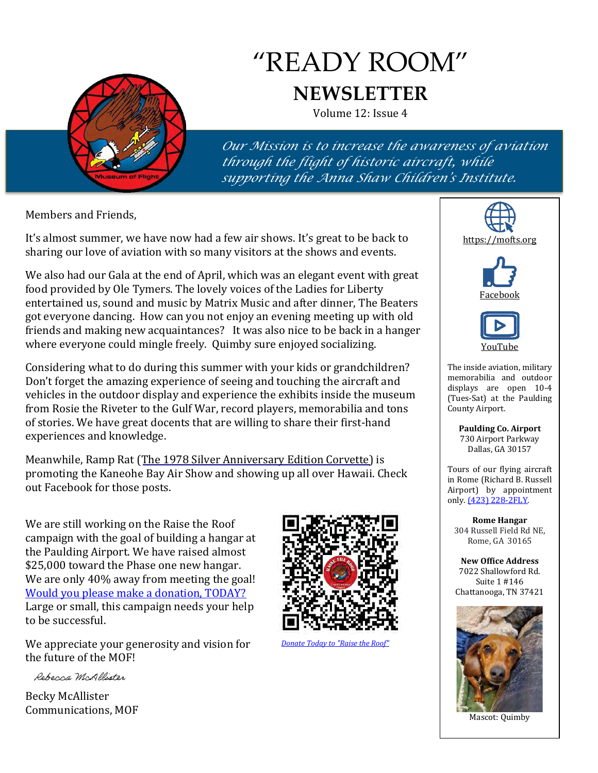

# "READY ROOM" **NEWSLETTER**

Volume 12: Issue 4

*Our Mission is to increase the awareness of aviation through the flight of historic aircraft, while supporting the Anna Shaw Children's Institute.*

Members and Friends,

It's almost summer, we have now had a few air shows. It's great to be back to sharing our love of aviation with so many visitors at the shows and events.

We also had our Gala at the end of April, which was an elegant event with great food provided by Ole Tymers. The lovely voices of the Ladies for Liberty entertained us, sound and music by Matrix Music and after dinner, The Beaters got everyone dancing. How can you not enjoy an evening meeting up with old friends and making new acquaintances? It was also nice to be back in a hanger where everyone could mingle freely. Quimby sure enjoyed socializing.

Considering what to do during this summer with your kids or grandchildren? Don't forget the amazing experience of seeing and touching the aircraft and vehicles in the outdoor display and experience the exhibits inside the museum from Rosie the Riveter to the Gulf War, record players, memorabilia and tons of stories. We have great docents that are willing to share their first-hand experiences and knowledge.

Meanwhile, Ramp Rat (The [1978 Silver Anniversary Edition Corvette](https://mofts.org/collection/silver-anniversary-edition-corvette/)) is promoting the Kaneohe Bay Air Show and showing up all over Hawaii. Check out Facebook for those posts.

We are still working on the Raise the Roof campaign with the goal of building a hangar at the Paulding Airport. We have raised almost \$25,000 toward the Phase one new hangar. We are only 40% away from meeting the goal! [Would you please make a donation, TODAY?](https://hixsonflightmuseum-922263.square.site/product/raise-the-roof-capital-campaign-donation/32)  Large or small, this campaign needs your help to be successful.

We appreciate your generosity and vision for the future of the MOF!

Rebecca McAllister

Becky McAllister Communications, MOF



*[Donate Today to "Raise the Roof"](https://hixsonflightmuseum-922263.square.site/product/raise-the-roof-capital-campaign-donation/32)*







The inside aviation, military memorabilia and outdoor displays are open 10-4 (Tues-Sat) at the Paulding County Airport.

> **Paulding Co. Airport** 730 Airport Parkway Dallas, GA 30157

Tours of our flying aircraft in Rome (Richard B. Russell Airport) by appointment only. [\(423\) 228-2FLY.](tel:423.228.2359)

**Rome Hangar** 304 Russell Field Rd NE, Rome, GA 30165

**New Office Address** 7022 Shallowford Rd. Suite 1 #146 Chattanooga, TN 37421



Mascot: Quimby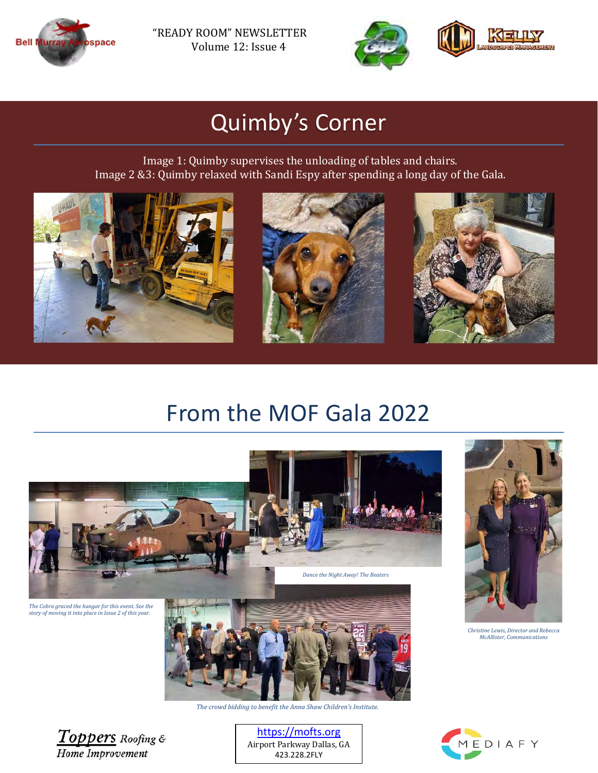

"READY ROOM" NEWSLETTER Volume 12: Issue 4



## Quimby's Corner

Image 1: Quimby supervises the unloading of tables and chairs. Image 2 &3: Quimby relaxed with Sandi Espy after spending a long day of the Gala.







#### From the MOF Gala 2022





*Christine Lewis, Director and Rebecca McAllister, Communications*





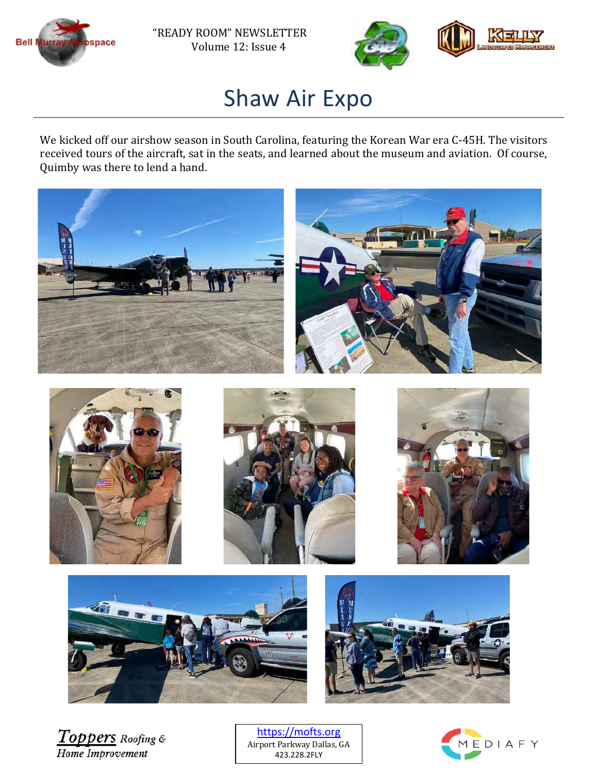



#### Shaw Air Expo

We kicked off our airshow season in South Carolina, featuring the Korean War era C-45H. The visitors received tours of the aircraft, sat in the seats, and learned about the museum and aviation. Of course, Quimby was there to lend a hand.



Toppers Roofing & Home Improvement

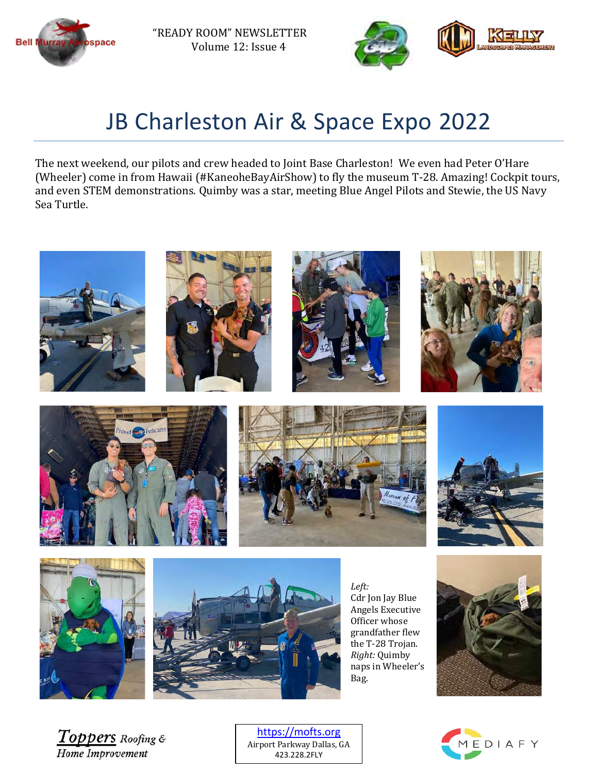

"READY ROOM" NEWSLETTER Volume 12: Issue 4



## JB Charleston Air & Space Expo 2022

The next weekend, our pilots and crew headed to Joint Base Charleston! We even had Peter O'Hare (Wheeler) come in from Hawaii (#KaneoheBayAirShow) to fly the museum T-28. Amazing! Cockpit tours, and even STEM demonstrations. Quimby was a star, meeting Blue Angel Pilots and Stewie, the US Navy Sea Turtle.



















*Left:* Cdr Jon Jay Blue Angels Executive Officer whose grandfather flew the T-28 Trojan. *Right:* Quimby naps in Wheeler's Bag.



Toppers Roofing & Home Improvement

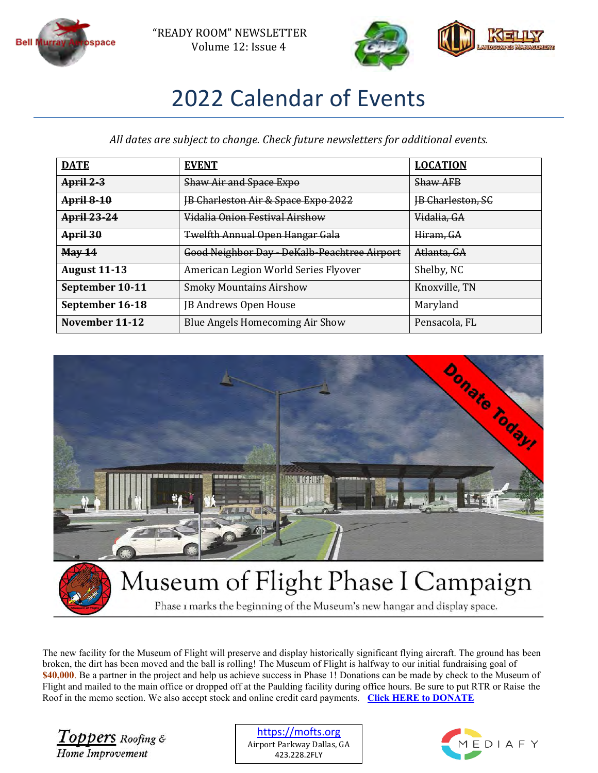



## 2022 Calendar of Events

*All dates are subject to change. Check future newsletters for additional events.*

| <b>DATE</b>         | <b>EVENT</b>                                   | <b>LOCATION</b>          |
|---------------------|------------------------------------------------|--------------------------|
| $April 2-3$         | <b>Shaw Air and Space Expo</b>                 | <b>Shaw AFB</b>          |
| <b>April 8-10</b>   | <b>IB Charleston Air &amp; Space Expo 2022</b> | <b>IB Charleston, SC</b> |
| <b>April 23-24</b>  | Vidalia Onion Festival Airshow                 | Vidalia, GA              |
| April 30            | <b>Twelfth Annual Open Hangar Gala</b>         | Hiram, GA                |
| May 14              | Good Neighbor Day - DeKalb-Peachtree Airport   | Atlanta, GA              |
| <b>August 11-13</b> | American Legion World Series Flyover           | Shelby, NC               |
| September 10-11     | <b>Smoky Mountains Airshow</b>                 | Knoxville, TN            |
| September 16-18     | JB Andrews Open House                          | Maryland                 |
| November 11-12      | Blue Angels Homecoming Air Show                | Pensacola, FL            |



Phase I marks the beginning of the Museum's new hangar and display space.

The new facility for the Museum of Flight will preserve and display historically significant flying aircraft. The ground has been broken, the dirt has been moved and the ball is rolling! The Museum of Flight is halfway to our initial fundraising goal of **\$40,000**. Be a partner in the project and help us achieve success in Phase 1! Donations can be made by check to the Museum of Flight and mailed to the main office or dropped off at the Paulding facility during office hours. Be sure to put RTR or Raise the Roof in the memo section. We also accept stock and online credit card payments. **[Click HERE to DONATE](https://tinyurl.com/mofraisetheroof)**

Toppers Roofing & Home Improvement